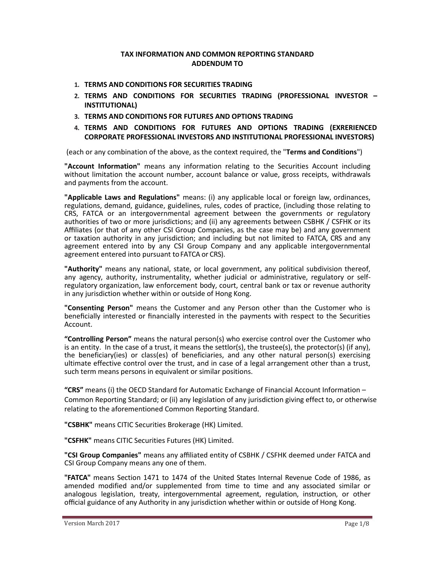## **TAX INFORMATION AND COMMON REPORTING STANDARD ADDENDUM TO**

- **1. TERMS AND CONDITIONS FOR SECURITIES TRADING**
- **2. TERMS AND CONDITIONS FOR SECURITIES TRADING (PROFESSIONAL INVESTOR – INSTITUTIONAL)**
- **3. TERMS AND CONDITIONS FOR FUTURES AND OPTIONS TRADING**
- **4. TERMS AND CONDITIONS FOR FUTURES AND OPTIONS TRADING (EXRERIENCED CORPORATE PROFESSIONAL INVESTORS AND INSTITUTIONAL PROFESSIONAL INVESTORS)**

(each or any combination of the above, as the context required, the "**Terms and Conditions**")

**"Account Information"** means any information relating to the Securities Account including without limitation the account number, account balance or value, gross receipts, withdrawals and payments from the account.

**"Applicable Laws and Regulations"** means: (i) any applicable local or foreign law, ordinances, regulations, demand, guidance, guidelines, rules, codes of practice, (including those relating to CRS, FATCA or an intergovernmental agreement between the governments or regulatory authorities of two or more jurisdictions; and (ii) any agreements between CSBHK / CSFHK or its Affiliates (or that of any other CSI Group Companies, as the case may be) and any government or taxation authority in any jurisdiction; and including but not limited to FATCA, CRS and any agreement entered into by any CSI Group Company and any applicable intergovernmental agreement entered into pursuant to FATCA or CRS).

**"Authority"** means any national, state, or local government, any political subdivision thereof, any agency, authority, instrumentality, whether judicial or administrative, regulatory or selfregulatory organization, law enforcement body, court, central bank or tax or revenue authority in any jurisdiction whether within or outside of Hong Kong.

**"Consenting Person"** means the Customer and any Person other than the Customer who is beneficially interested or financially interested in the payments with respect to the Securities Account.

**"Controlling Person"** means the natural person(s) who exercise control over the Customer who is an entity. In the case of a trust, it means the settlor(s), the trustee(s), the protector(s) (if any), the beneficiary(ies) or class(es) of beneficiaries, and any other natural person(s) exercising ultimate effective control over the trust, and in case of a legal arrangement other than a trust, such term means persons in equivalent or similar positions.

**"CRS"** means (i) the OECD Standard for Automatic Exchange of Financial Account Information – Common Reporting Standard; or (ii) any legislation of any jurisdiction giving effect to, or otherwise relating to the aforementioned Common Reporting Standard.

**"CSBHK"** means CITIC Securities Brokerage (HK) Limited.

**"CSFHK"** means CITIC Securities Futures (HK) Limited.

**"CSI Group Companies"** means any affiliated entity of CSBHK / CSFHK deemed under FATCA and CSI Group Company means any one of them.

**"FATCA"** means Section 1471 to 1474 of the United States Internal Revenue Code of 1986, as amended modified and/or supplemented from time to time and any associated similar or analogous legislation, treaty, intergovernmental agreement, regulation, instruction, or other official guidance of any Authority in any jurisdiction whether within or outside of Hong Kong.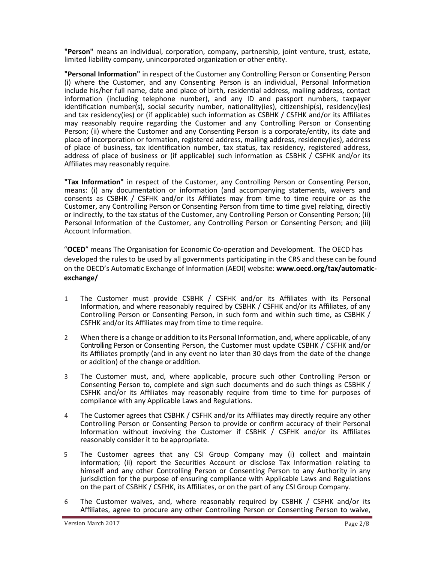**"Person"** means an individual, corporation, company, partnership, joint venture, trust, estate, limited liability company, unincorporated organization or other entity.

**"Personal Information"** in respect of the Customer any Controlling Person or Consenting Person (i) where the Customer, and any Consenting Person is an individual, Personal Information include his/her full name, date and place of birth, residential address, mailing address, contact information (including telephone number), and any ID and passport numbers, taxpayer identification number(s), social security number, nationality(ies), citizenship(s), residency(ies) and tax residency(ies) or (if applicable) such information as CSBHK / CSFHK and/or its Affiliates may reasonably require regarding the Customer and any Controlling Person or Consenting Person; (ii) where the Customer and any Consenting Person is a corporate/entity, its date and place of incorporation or formation, registered address, mailing address, residency(ies), address of place of business, tax identification number, tax status, tax residency, registered address, address of place of business or (if applicable) such information as CSBHK / CSFHK and/or its Affiliates may reasonably require.

**"Tax Information"** in respect of the Customer, any Controlling Person or Consenting Person, means: (i) any documentation or information (and accompanying statements, waivers and consents as CSBHK / CSFHK and/or its Affiliates may from time to time require or as the Customer, any Controlling Person or Consenting Person from time to time give) relating, directly or indirectly, to the tax status of the Customer, any Controlling Person or Consenting Person; (ii) Personal Information of the Customer, any Controlling Person or Consenting Person; and (iii) Account Information.

"**OCED**" means The Organisation for Economic Co-operation and Development. The OECD has developed the rules to be used by all governments participating in the CRS and these can be found on the OECD's Automatic Exchange of Information (AEOI) website: **www.oecd.org/tax/automaticexchange/**

- 1 The Customer must provide CSBHK / CSFHK and/or its Affiliates with its Personal Information, and where reasonably required by CSBHK / CSFHK and/or its Affiliates, of any Controlling Person or Consenting Person, in such form and within such time, as CSBHK / CSFHK and/or its Affiliates may from time to time require.
- 2 When there is a change or addition to its Personal Information, and, where applicable, of any Controlling Person or Consenting Person, the Customer must update CSBHK / CSFHK and/or its Affiliates promptly (and in any event no later than 30 days from the date of the change or addition) of the change oraddition.
- 3 The Customer must, and, where applicable, procure such other Controlling Person or Consenting Person to, complete and sign such documents and do such things as CSBHK / CSFHK and/or its Affiliates may reasonably require from time to time for purposes of compliance with any Applicable Laws and Regulations.
- 4 The Customer agrees that CSBHK / CSFHK and/or its Affiliates may directly require any other Controlling Person or Consenting Person to provide or confirm accuracy of their Personal Information without involving the Customer if CSBHK / CSFHK and/or its Affiliates reasonably consider it to be appropriate.
- 5 The Customer agrees that any CSI Group Company may (i) collect and maintain information; (ii) report the Securities Account or disclose Tax Information relating to himself and any other Controlling Person or Consenting Person to any Authority in any jurisdiction for the purpose of ensuring compliance with Applicable Laws and Regulations on the part of CSBHK / CSFHK, its Affiliates, or on the part of any CSI Group Company.
- 6 The Customer waives, and, where reasonably required by CSBHK / CSFHK and/or its Affiliates, agree to procure any other Controlling Person or Consenting Person to waive,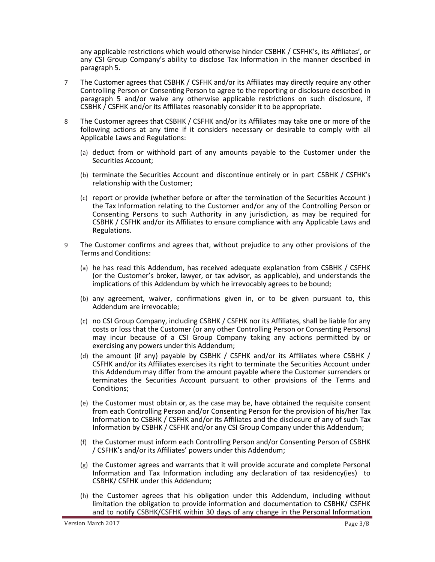any applicable restrictions which would otherwise hinder CSBHK / CSFHK's, its Affiliates', or any CSI Group Company's ability to disclose Tax Information in the manner described in paragraph 5.

- 7 The Customer agrees that CSBHK / CSFHK and/or its Affiliates may directly require any other Controlling Person or Consenting Person to agree to the reporting or disclosure described in paragraph 5 and/or waive any otherwise applicable restrictions on such disclosure, if CSBHK / CSFHK and/or its Affiliates reasonably consider it to be appropriate.
- 8 The Customer agrees that CSBHK / CSFHK and/or its Affiliates may take one or more of the following actions at any time if it considers necessary or desirable to comply with all Applicable Laws and Regulations:
	- (a) deduct from or withhold part of any amounts payable to the Customer under the Securities Account;
	- (b) terminate the Securities Account and discontinue entirely or in part CSBHK / CSFHK's relationship with the Customer;
	- (c) report or provide (whether before or after the termination of the Securities Account ) the Tax Information relating to the Customer and/or any of the Controlling Person or Consenting Persons to such Authority in any jurisdiction, as may be required for CSBHK / CSFHK and/or its Affiliates to ensure compliance with any Applicable Laws and Regulations.
- 9 The Customer confirms and agrees that, without prejudice to any other provisions of the Terms and Conditions:
	- (a) he has read this Addendum, has received adequate explanation from CSBHK / CSFHK (or the Customer's broker, lawyer, or tax advisor, as applicable), and understands the implications of this Addendum by which he irrevocably agrees to be bound;
	- (b) any agreement, waiver, confirmations given in, or to be given pursuant to, this Addendum are irrevocable;
	- (c) no CSI Group Company, including CSBHK / CSFHK nor its Affiliates, shall be liable for any costs or loss that the Customer (or any other Controlling Person or Consenting Persons) may incur because of a CSI Group Company taking any actions permitted by or exercising any powers under this Addendum;
	- (d) the amount (if any) payable by CSBHK / CSFHK and/or its Affiliates where CSBHK / CSFHK and/or its Affiliates exercises its right to terminate the Securities Account under this Addendum may differ from the amount payable where the Customer surrenders or terminates the Securities Account pursuant to other provisions of the Terms and Conditions;
	- (e) the Customer must obtain or, as the case may be, have obtained the requisite consent from each Controlling Person and/or Consenting Person for the provision of his/her Tax Information to CSBHK / CSFHK and/or its Affiliates and the disclosure of any of such Tax Information by CSBHK / CSFHK and/or any CSI Group Company under this Addendum;
	- (f) the Customer must inform each Controlling Person and/or Consenting Person of CSBHK / CSFHK's and/or its Affiliates' powers under this Addendum;
	- (g) the Customer agrees and warrants that it will provide accurate and complete Personal Information and Tax Information including any declaration of tax residency(ies) to CSBHK/ CSFHK under this Addendum;
	- (h) the Customer agrees that his obligation under this Addendum, including without limitation the obligation to provide information and documentation to CSBHK/ CSFHK and to notify CSBHK/CSFHK within 30 days of any change in the Personal Information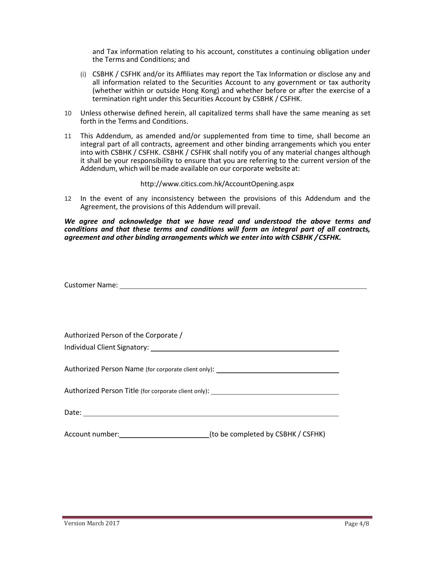and Tax information relating to his account, constitutes a continuing obligation under the Terms and Conditions; and

- (i) CSBHK / CSFHK and/or its Affiliates may report the Tax Information or disclose any and all information related to the Securities Account to any government or tax authority (whether within or outside Hong Kong) and whether before or after the exercise of a termination right under this Securities Account by CSBHK / CSFHK.
- 10 Unless otherwise defined herein, all capitalized terms shall have the same meaning as set forth in the Terms and Conditions.
- 11 This Addendum, as amended and/or supplemented from time to time, shall become an integral part of all contracts, agreement and other binding arrangements which you enter into with CSBHK / CSFHK. CSBHK / CSFHK shall notify you of any material changes although it shall be your responsibility to ensure that you are referring to the current version of the Addendum, which will be made available on our corporate website at:

## http://www.citics.com.hk/AccountOpening.aspx

12 In the event of any inconsistency between the provisions of this Addendum and the Agreement, the provisions of this Addendum will prevail.

*We agree and acknowledge that we have read and understood the above terms and conditions and that these terms and conditions will form an integral part of all contracts, agreement and other binding arrangements which we enter into with CSBHK /CSFHK.*

| Customer Name: 1988 and 2008 and 2008 and 2008 and 2008 and 2008 and 2008 and 2008 and 2008 and 2008 and 2008 and 2008 and 2008 and 2008 and 2008 and 2008 and 2008 and 2008 and 2008 and 2008 and 2008 and 2008 and 2008 and |  |
|-------------------------------------------------------------------------------------------------------------------------------------------------------------------------------------------------------------------------------|--|
|                                                                                                                                                                                                                               |  |
|                                                                                                                                                                                                                               |  |
|                                                                                                                                                                                                                               |  |
| Authorized Person of the Corporate /                                                                                                                                                                                          |  |
|                                                                                                                                                                                                                               |  |
|                                                                                                                                                                                                                               |  |
| Authorized Person Name (for corporate client only): ____________________________                                                                                                                                              |  |
| Authorized Person Title (for corporate client only): ___________________________                                                                                                                                              |  |
|                                                                                                                                                                                                                               |  |
|                                                                                                                                                                                                                               |  |
| (to be completed by CSBHK / CSFHK)                                                                                                                                                                                            |  |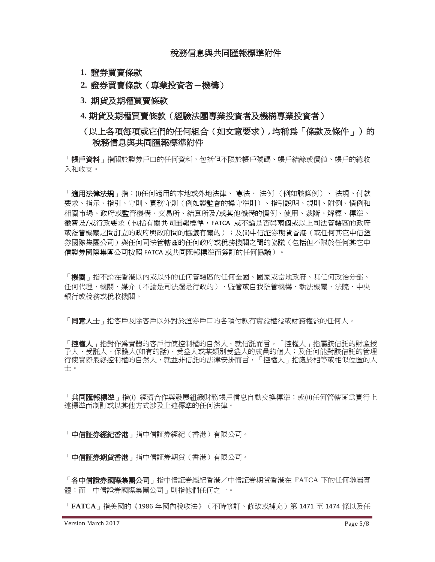- **1.** 證券買賣條款
- **2.** 證券買賣條款(專業投資者-機構)
- **3.** 期貨及期權買賣條款
- **4.** 期貨及期權買賣條款(經驗法團專業投資者及機構專業投資者)
- (以上各項每項或它們的任何組合(如文意要求)**,** 均稱為「條款及條件」)的 稅務信息與共同匯報標準附件

「**帳戶資料**」指關於證券戶口的任何資料,包括但不限於帳戶號碼、帳戶結餘或價值、帳戶的總收 入和收支。

「**適用法律法規**」指:⑴任何適用的本地或外地法律、 憲法、 法例 (例如該條例)、 法規、付款 要求、指示、指引、守則、實務守則(例如證監會的操守準則)、指引說明、規則、附例、慣例和 相關市場、政府或監管機構、交易所、結算所及/或其他機構的慣例、使用、裁斷、解釋、標準、 徵費及/或行政要求(包括有關共同匯報標準,FATCA 或不論是否與兩個或以上司法管轄區的政府 或監管機關之間訂立的政府與政府間的協議有關的);及(ii)中信証券期貨香港(或任何其它中信證 券國際集團公司)與任何司法管轄區的任何政府或稅務機關之間的協議(包括但不限於任何其它中 信證券國際集團公司按照 FATCA 或共同匯報標準而簽訂的任何協議)。

「機關」指不論在香港以內或以外的任何管轄區的任何全國、國家或當地政府、其任何政治分部、 任何代理、機關、媒介(不論是司法還是行政的)、監管或自我監管機構、執法機關、法院、中央 銀行或稅務或稅收機關。

「同意人士」指客戶及除客戶以外對於證券戶口的各項付款有實益權益或財務權益的任何人。

「**控權人**」指對作爲實體的客戶行使控制權的自然人。就信託而言,「控權人」指屬該信託的財產授 予人、受託人、保護人(如有的話)、受益人或某類別受益人的成員的個人;及任何能對該信託的管理 行使實際最終控制權的自然人,就並非信託的法律安排而言,「控權人」指處於相等或相似位置的人 士。

「**共同匯報標準**」指(i) 經濟合作與發展組織財務帳戶信息自動交換標準;或(ii)任何管轄區爲實行上 述標準而制訂或以其他方式涉及上述標準的任何法律。

「**中信証券經紀香港**」指中信証券經紀(香港)有限公司。

「中信証券期貨香港」指中信証券期貨(香港)有限公司。

「各中信證券國際集團公司」指中信証券經紀香港/中信証券期貨香港在 FATCA 下的任何聯屬實 體;而「中信證券國際集團公司」則指他們任何之一。

「**FATCA**」指美國的《1986 年國內稅收法》(不時修訂、修改或補充)第 1471 至 1474 條以及任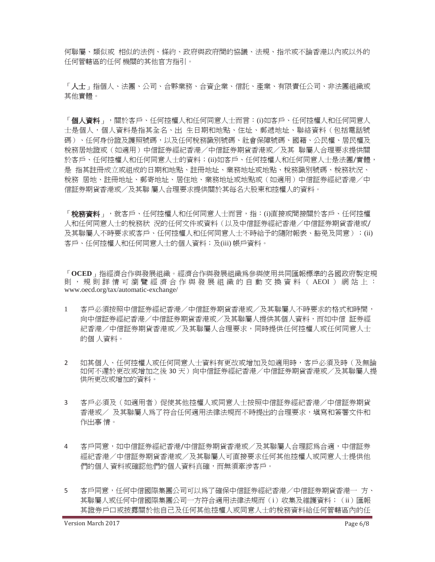何聯屬、類似或 相似的法例、條約、政府與政府間的協議、法規、指示或不論香港以內或以外的 任何管轄區的任何 機關的其他官方指引。

「人士」指個人、法團、公司、合夥業務、合資企業、信託、產業、有限責任公司、非法團組織或 其他實體。

「**個人資料**」,關於客戶、任何控權人和任何同意人士而言:(i)如客戶、任何控權人和任何同意人 士是個人,個人資料是指其全名、出 生日期和地點、住址、郵遞地址、聯絡資料(包括電話號 碼)、任何身份證及護照號碼,以及任何稅務識別號碼、社會保障號碼、國籍、公民權、居民權及 稅務居地證或(如適用)中信証券經紀香港/中信証券期貨香港或/及其 聯屬人合理要求提供關 於客戶、任何控權人和任何同意人士的資料;(ii)如客戶、任何控權人和任何同意人士是法團/實體, 是 指其註冊成立或組成的日期和地點、註冊地址、業務地址或地點、稅務識別號碼、稅務狀況、 稅務 居地、註冊地址、郵寄地址、居住地、業務地址或地點或(如適用)中信証券經紀香港/中 信証券期貨香港或/及其聯 屬人合理要求提供關於其每名大股東和控權人的資料。

「**稅務資料**」,就客戶、任何控權人和任何同意人士而言,指:⑴直接或間接關於客戶、任何控權 人和任何同意人士的稅務狀 況的任何文件或資料(以及中信証券經紀香港/中信証券期貨香港或/ 及其聯屬人不時要求或客戶、任何控權人和任何同意人士不時給予的隨附報表、豁免及同意);(ii) 客戶、任何控權人和任何同意人士的個人資料;及(iii) 帳戶資料。

「**OCED**」指經濟合作與發展組織。經濟合作與發展組織為參與使用共同匯報標準的各國政府製定規 則, 規則詳情可瀏覽經濟合作與發展組織的自動交換資料 (AEOI)網站上: www.oecd.org/tax/automatic-exchange/

- 1 客戶必須按照中信証券經紀香港/中信証券期貨香港或/及其聯屬人不時要求的格式和時間, 向中信証券經紀香港/中信証券期貨香港或/及其聯屬人提供其個人資料,而如中信 証券經 紀香港/中信証券期貨香港或/及其聯屬人合理要求,同時提供任何控權人或任何同意人士 的個 人資料。
- 2 如其個人、任何控權人或任何同意人士資料有更改或增加及如適用時,客戶必須及時(及無論 如何不遲於更改或增加之後 30 天)向中信証券經紀香港/中信証券期貨香港或/及其聯屬人提 供所更改或增加的資料。
- 3 客戶必須及(如適用者)促使其他控權人或同意人士按照中信証券經紀香港/中信証券期貨 香港或/ 及其聯屬人為了符合任何適用法律法規而不時提出的合理要求,填寫和簽署文件和 作出事 情。
- 4 客戶同意,如中信証券經紀香港/中信証券期貨香港或/及其聯屬人合理認為合適,中信証券 經紀香港/中信証券期貨香港或/及其聯屬人可直接要求任何其他控權人或同意人士提供他 們的個人 資料或確認他們的個人資料真確,而無須牽涉客戶。
- 5 客戶同意,任何中信國際集團公司可以為了確保中信証券經紀香港/中信証券期貨香港一 方、 其聯屬人或仟何中信國際集團公司一方符合適用法律法規而(i)收集及維護資料;(ii)匯報 其證券戶口或披露關於他自己及任何其他控權人或同意人士的稅務資料給任何管轄區內的任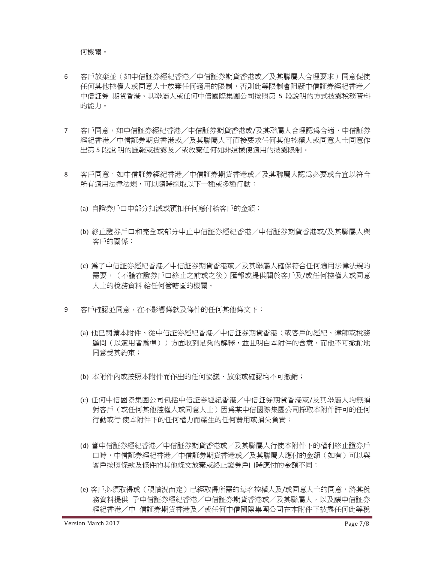何機關。

- 6 客戶放棄並(如中信証券經紀香港/中信証券期貨香港或/及其聯屬人合理要求)同意促使 任何其他控權人或同意人士放棄任何適用的限制,否則此等限制會阻礙中信証券經紀香港/ 中信証券 期貨香港、其聯屬人或任何中信國際集團公司按照第 5 段說明的方式披露稅務資料 的能力。
- 7 客戶同意,如中信証券經紀香港/中信証券期貨香港或/及其聯屬人合理認為合適,中信証券 經紀香港/中信証券期貨香港或/及其聯屬人可直接要求任何其他控權人或同意人士同意作 出第 5 段說 明的匯報或披露及/或放棄任何如非這樣便適用的披露限制。
- 8 客戶同意,如中信証券經紀香港/中信証券期貨香港或/及其聯屬人認為必要或合宜以符合 所有適用法律法規,可以隨時採取以下一種或多種行動:
	- (a) 自證券戶口中部分扣減或預扣任何應付給客戶的金額;
	- (b) 終止證券戶口和完全或部分中止中信証券經紀香港/中信証券期貨香港或/及其聯屬人與 客戶的關係;
	- (c) 為了中信証券經紀香港/中信証券期貨香港或/及其聯屬人確保符合任何適用法律法規的 需要,(不論在證券戶口終止之前或之後)匯報或提供關於客戶及/或任何控權人或同意 人士的稅務資料 給任何管轄區的機關。
- 9 客戶確認並同意,在不影響條款及條件的任何其他條文下:
	- (a) 他已閱讀本附件、從中信証券經紀香港/中信証券期貨香港(或客戶的經紀、律師或稅務 顧問(以適用者為準))方面收到足夠的解釋,並且明白本附件的含意,而他不可撤銷地 同意受其約束;
	- (b) 本附件內或按照本附件而作出的任何協議、放棄或確認均不可撤銷;
	- (c) 任何中信國際集團公司包括中信証券經紀香港/中信証券期貨香港或/及其聯屬人均無須 對客戶(或任何其他控權人或同意人士)因為某中信國際集團公司採取本附件許可的任何 行動或行 使本附件下的任何權力而產生的任何費用或損失負責;
	- (d) 當中信証券經紀香港/中信証券期貨香港或/及其聯屬人行使本附件下的權利終止證券戶 口時,中信証券經紀香港/開拓基本及入入,並属人應付的金額(如有)可以與 客戶按照條款及條件的其他條文放棄或終止證券戶口時應付的金額不同;
	- (e) 客戶必須取得或(視情況而定)已經取得所需的每名控權人及/或同意人士的同意,將其稅 務資料提供 予中信証券經紀香港/中信証券期貨香港或/及其聯屬人,以及讓中信証券 經紀香港/中 信証券期貨香港及/或任何中信國際集團公司在本附件下披露任何此等稅